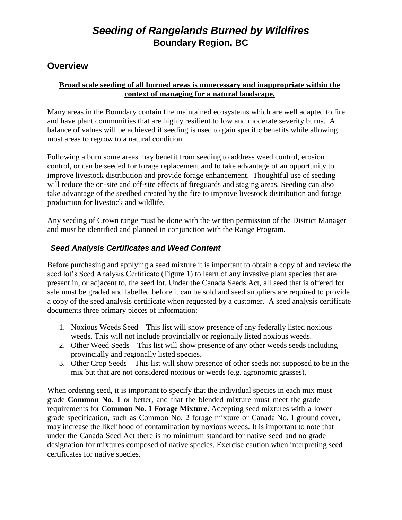### **Overview**

#### **Broad scale seeding of all burned areas is unnecessary and inappropriate within the context of managing for a natural landscape.**

Many areas in the Boundary contain fire maintained ecosystems which are well adapted to fire and have plant communities that are highly resilient to low and moderate severity burns. A balance of values will be achieved if seeding is used to gain specific benefits while allowing most areas to regrow to a natural condition.

Following a burn some areas may benefit from seeding to address weed control, erosion control, or can be seeded for forage replacement and to take advantage of an opportunity to improve livestock distribution and provide forage enhancement. Thoughtful use of seeding will reduce the on-site and off-site effects of fireguards and staging areas. Seeding can also take advantage of the seedbed created by the fire to improve livestock distribution and forage production for livestock and wildlife.

Any seeding of Crown range must be done with the written permission of the District Manager and must be identified and planned in conjunction with the Range Program.

#### *Seed Analysis Certificates and Weed Content*

Before purchasing and applying a seed mixture it is important to obtain a copy of and review the seed lot's Seed Analysis Certificate (Figure 1) to learn of any invasive plant species that are present in, or adjacent to, the seed lot. Under the Canada Seeds Act, all seed that is offered for sale must be graded and labelled before it can be sold and seed suppliers are required to provide a copy of the seed analysis certificate when requested by a customer. A seed analysis certificate documents three primary pieces of information:

- 1. Noxious Weeds Seed This list will show presence of any federally listed noxious weeds. This will not include provincially or regionally listed noxious weeds.
- 2. Other Weed Seeds This list will show presence of any other weeds seeds including provincially and regionally listed species.
- 3. Other Crop Seeds This list will show presence of other seeds not supposed to be in the mix but that are not considered noxious or weeds (e.g. agronomic grasses).

When ordering seed, it is important to specify that the individual species in each mix must grade **Common No. 1** or better, and that the blended mixture must meet the grade requirements for **Common No. 1 Forage Mixture**. Accepting seed mixtures with a lower grade specification, such as Common No. 2 forage mixture or Canada No. 1 ground cover, may increase the likelihood of contamination by noxious weeds. It is important to note that under the Canada Seed Act there is no minimum standard for native seed and no grade designation for mixtures composed of native species. Exercise caution when interpreting seed certificates for native species.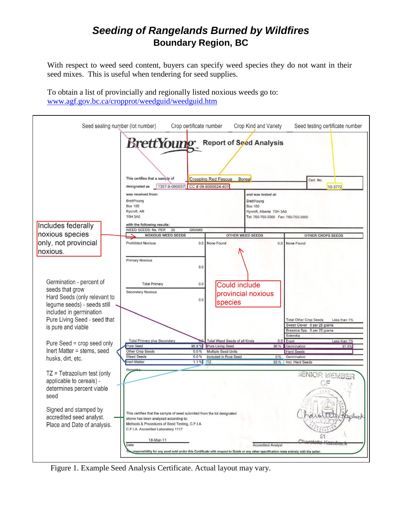With respect to weed seed content, buyers can specify weed species they do not want in their seed mixes. This is useful when tendering for seed supplies.

To obtain a list of provincially and regionally listed noxious weeds go to: [www.agf.gov.bc.ca/cropprot/weedguid/weedguid.htm](http://www.agf.gov.bc.ca/cropprot/weedguid/weedguid.htm)

| Seed sealing number (lot number)                                                                                                                                                    |                                                                                                                                                                                                                      | Crop certificate number |                                                          | Crop Kind and Variety                                                                                                  | Seed testing certificate number                             |
|-------------------------------------------------------------------------------------------------------------------------------------------------------------------------------------|----------------------------------------------------------------------------------------------------------------------------------------------------------------------------------------------------------------------|-------------------------|----------------------------------------------------------|------------------------------------------------------------------------------------------------------------------------|-------------------------------------------------------------|
|                                                                                                                                                                                     | <b>Brett Young</b> Report of Seed Analysis<br>This certifies that a sample of<br>1357-9-060037 CC #09-8055624-401<br>designated as                                                                                   |                         | <b>Creeping Red Fescue</b><br><b>Borea</b>               |                                                                                                                        | Cert. No.<br>10-3772                                        |
| Includes federally                                                                                                                                                                  | was received from:<br><b>BrettYoung</b><br><b>Box 100</b><br>Rycroft, AB<br><b>T0H 3A0</b><br>with the following results:                                                                                            |                         |                                                          | and was tested at:<br>BrettYoung<br><b>Box 100</b><br>Rycroft, Alberta T0H 3A0<br>Tel: 780-765-3069  Fax: 780-765-3960 |                                                             |
| noxious species                                                                                                                                                                     | WEED SEEDS: No. PER<br>25                                                                                                                                                                                            | <b>GRAMS</b>            |                                                          |                                                                                                                        |                                                             |
|                                                                                                                                                                                     | <b>NOXIOUS WEED SEEDS</b>                                                                                                                                                                                            |                         | <b>OTHER WEED SEEDS</b>                                  |                                                                                                                        | <b>OTHER CROPS SEEDS</b>                                    |
| only, not provincial<br>noxious.                                                                                                                                                    | <b>Prohibited Noxious</b><br><b>Primary Noxious</b>                                                                                                                                                                  | 0.0                     | 0.0 None Found                                           | 0.0                                                                                                                    | None Found                                                  |
| Germination - percent of<br>seeds that grow<br>Hard Seeds (only relevant to<br>legume seeds) - seeds still<br>included in germination<br>Pure Living Seed - seed that               | <b>Total Primary</b><br><b>Secondary Noxious</b>                                                                                                                                                                     | 0.0<br>0.0              | Could include<br>provincial noxious<br>species           |                                                                                                                        | <b>Total Other Crop Seeds</b><br>Less than 1%               |
| is pure and viable                                                                                                                                                                  |                                                                                                                                                                                                                      |                         |                                                          |                                                                                                                        | Sweet Clover 0 per 25 grams<br>Brassica Spp. 0 per 25 grams |
|                                                                                                                                                                                     |                                                                                                                                                                                                                      |                         |                                                          |                                                                                                                        | Sclerotia                                                   |
| Pure Seed = crop seed only                                                                                                                                                          | <b>Total Primary plus Secondary</b><br>Pure Seed                                                                                                                                                                     | 98.9%                   | Total Weed Seeds of all Kinds<br><b>Pure Living Seed</b> | 0.0<br>96%                                                                                                             | Ergot<br>Less than 1%<br>Germination<br>97.5%               |
| Inert Matter = stems, seed                                                                                                                                                          | Other Crop Seeds                                                                                                                                                                                                     | 0.0%                    | <b>Multiple Seed Units</b>                               |                                                                                                                        | <b>Hard Seeds</b>                                           |
| husks, dirt, etc.                                                                                                                                                                   | <b>Weed Seeds</b>                                                                                                                                                                                                    | 0.0%                    | Included in Pure Seed                                    | 0%                                                                                                                     | Germination                                                 |
|                                                                                                                                                                                     | <b>Inert Matter</b>                                                                                                                                                                                                  | $1.1\%$ TZ              |                                                          | 93%                                                                                                                    | Incl. Hard Seeds                                            |
| $TZ = Tetrazolium test (only)$<br>applicable to cereals) -<br>determines percent viable<br>seed<br>Signed and stamped by<br>accredited seed analyst.<br>Place and Date of analysis. | Remarks<br>This certifies that the sample of seed submited from the lot designated<br>above has been analyzed according to:<br>Methods & Procedures of Seed Testing, C.F.I.A.<br>C.F.I.A. Accredited Laboratory 1117 |                         |                                                          |                                                                                                                        | JENIOR MEMBER                                               |
|                                                                                                                                                                                     | 18-Mar-11<br>Date<br>The responsibility for any seed sold under this Certificate with respect to Grade or any other specification rests entirely with the seller.                                                    |                         |                                                          | <b>Accredited Analyst</b>                                                                                              | Charatotto                                                  |

Figure 1. Example Seed Analysis Certificate. Actual layout may vary.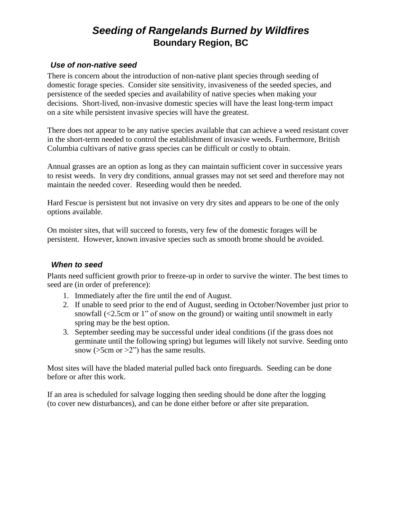#### *Use of non-native seed*

There is concern about the introduction of non-native plant species through seeding of domestic forage species. Consider site sensitivity, invasiveness of the seeded species, and persistence of the seeded species and availability of native species when making your decisions. Short-lived, non-invasive domestic species will have the least long-term impact on a site while persistent invasive species will have the greatest.

There does not appear to be any native species available that can achieve a weed resistant cover in the short-term needed to control the establishment of invasive weeds. Furthermore, British Columbia cultivars of native grass species can be difficult or costly to obtain.

Annual grasses are an option as long as they can maintain sufficient cover in successive years to resist weeds. In very dry conditions, annual grasses may not set seed and therefore may not maintain the needed cover. Reseeding would then be needed.

Hard Fescue is persistent but not invasive on very dry sites and appears to be one of the only options available.

On moister sites, that will succeed to forests, very few of the domestic forages will be persistent. However, known invasive species such as smooth brome should be avoided.

#### *When to seed*

Plants need sufficient growth prior to freeze-up in order to survive the winter. The best times to seed are (in order of preference):

- 1. Immediately after the fire until the end of August.
- 2. If unable to seed prior to the end of August, seeding in October/November just prior to snowfall (<2.5cm or 1" of snow on the ground) or waiting until snowmelt in early spring may be the best option.
- 3. September seeding may be successful under ideal conditions (if the grass does not germinate until the following spring) but legumes will likely not survive. Seeding onto snow ( $>5cm$  or  $>2$ ") has the same results.

Most sites will have the bladed material pulled back onto fireguards. Seeding can be done before or after this work.

If an area is scheduled for salvage logging then seeding should be done after the logging (to cover new disturbances), and can be done either before or after site preparation.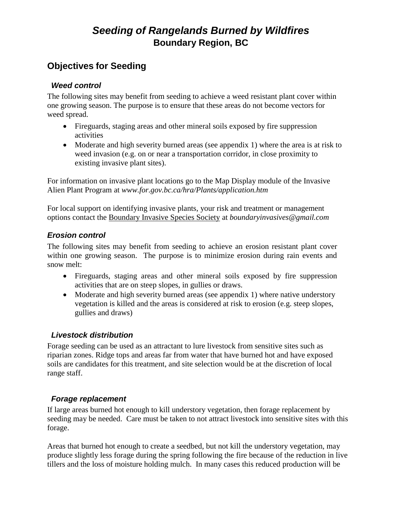### **Objectives for Seeding**

#### *Weed control*

The following sites may benefit from seeding to achieve a weed resistant plant cover within one growing season. The purpose is to ensure that these areas do not become vectors for weed spread.

- Fireguards, staging areas and other mineral soils exposed by fire suppression activities
- Moderate and high severity burned areas (see appendix 1) where the area is at risk to weed invasion (e.g. on or near a transportation corridor, in close proximity to existing invasive plant sites).

For information on invasive plant locations go to the Map Display module of the Invasive Alien Plant Program at *www.for.gov.bc.ca/hra/Plants/application.htm* 

For local support on identifying invasive plants, your risk and treatment or management options contact the Boundary Invasive Species Society at *boundaryinvasives@gmail.com*

### *Erosion control*

The following sites may benefit from seeding to achieve an erosion resistant plant cover within one growing season. The purpose is to minimize erosion during rain events and snow melt:

- Fireguards, staging areas and other mineral soils exposed by fire suppression activities that are on steep slopes, in gullies or draws.
- Moderate and high severity burned areas (see appendix 1) where native understory vegetation is killed and the areas is considered at risk to erosion (e.g. steep slopes, gullies and draws)

### *Livestock distribution*

Forage seeding can be used as an attractant to lure livestock from sensitive sites such as riparian zones. Ridge tops and areas far from water that have burned hot and have exposed soils are candidates for this treatment, and site selection would be at the discretion of local range staff.

### *Forage replacement*

If large areas burned hot enough to kill understory vegetation, then forage replacement by seeding may be needed. Care must be taken to not attract livestock into sensitive sites with this forage.

Areas that burned hot enough to create a seedbed, but not kill the understory vegetation, may produce slightly less forage during the spring following the fire because of the reduction in live tillers and the loss of moisture holding mulch. In many cases this reduced production will be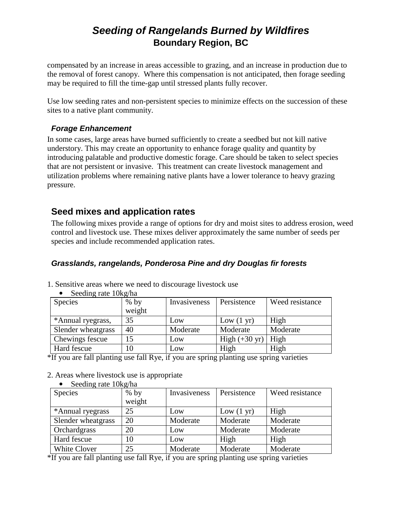compensated by an increase in areas accessible to grazing, and an increase in production due to the removal of forest canopy. Where this compensation is not anticipated, then forage seeding may be required to fill the time-gap until stressed plants fully recover.

Use low seeding rates and non-persistent species to minimize effects on the succession of these sites to a native plant community.

#### *Forage Enhancement*

In some cases, large areas have burned sufficiently to create a seedbed but not kill native understory. This may create an opportunity to enhance forage quality and quantity by introducing palatable and productive domestic forage. Care should be taken to select species that are not persistent or invasive. This treatment can create livestock management and utilization problems where remaining native plants have a lower tolerance to heavy grazing pressure.

### **Seed mixes and application rates**

The following mixes provide a range of options for dry and moist sites to address erosion, weed control and livestock use. These mixes deliver approximately the same number of seeds per species and include recommended application rates.

#### *Grasslands, rangelands, Ponderosa Pine and dry Douglas fir forests*

1. Sensitive areas where we need to discourage livestock use

| Species            | $%$ by | Invasiveness | Persistence             | Weed resistance |
|--------------------|--------|--------------|-------------------------|-----------------|
|                    | weight |              |                         |                 |
| *Annual ryegrass,  | 35     | Low          | Low $(1 \text{ yr})$    | High            |
| Slender wheatgrass | 40     | Moderate     | Moderate                | Moderate        |
| Chewings fescue    |        | Low          | High $(+30 \text{ yr})$ | High            |
| Hard fescue        | 10     | Low          | High                    | High            |

• Seeding rate 10kg/ha

\*If you are fall planting use fall Rye, if you are spring planting use spring varieties

#### 2. Areas where livestock use is appropriate

| Seeding rate 10kg/ha |        |              |                      |                 |
|----------------------|--------|--------------|----------------------|-----------------|
| <b>Species</b>       | $%$ by | Invasiveness | Persistence          | Weed resistance |
|                      | weight |              |                      |                 |
| *Annual ryegrass     | 25     | Low          | Low $(1 \text{ yr})$ | High            |
| Slender wheatgrass   | 20     | Moderate     | Moderate             | Moderate        |
| Orchardgrass         | 20     | Low          | Moderate             | Moderate        |
| Hard fescue          | 10     | Low          | High                 | High            |
| <b>White Clover</b>  | 25     | Moderate     | Moderate             | Moderate        |

\*If you are fall planting use fall Rye, if you are spring planting use spring varieties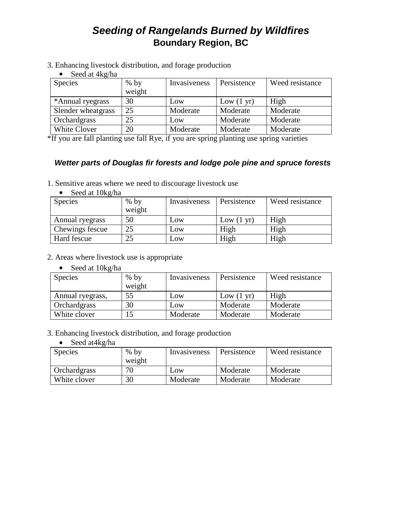3. Enhancing livestock distribution, and forage production

• Seed at 4kg/ha

| <b>Species</b>     | $%$ by | Invasiveness | Persistence          | Weed resistance |
|--------------------|--------|--------------|----------------------|-----------------|
|                    | weight |              |                      |                 |
| *Annual ryegrass   | 30     | Low          | Low $(1 \text{ yr})$ | High            |
| Slender wheatgrass | 25     | Moderate     | Moderate             | Moderate        |
| Orchardgrass       | 25     | Low          | Moderate             | Moderate        |
| White Clover       | 20     | Moderate     | Moderate             | Moderate        |

\*If you are fall planting use fall Rye, if you are spring planting use spring varieties

#### *Wetter parts of Douglas fir forests and lodge pole pine and spruce forests*

1. Sensitive areas where we need to discourage livestock use

|  |  | Seed at 10kg/ha |
|--|--|-----------------|
|--|--|-----------------|

| Species         | $%$ by<br>weight | Invasiveness | Persistence          | Weed resistance |
|-----------------|------------------|--------------|----------------------|-----------------|
| Annual ryegrass | 50               | Low          | Low $(1 \text{ yr})$ | High            |
| Chewings fescue | 25               | Low          | High                 | High            |
| Hard fescue     | 25               | Low          | High                 | High            |

- 2. Areas where livestock use is appropriate
	- Seed at  $10kg/ha$

| Species          | $%$ by<br>weight | Invasiveness | Persistence          | Weed resistance |
|------------------|------------------|--------------|----------------------|-----------------|
| Annual ryegrass, | 55               | Low          | Low $(1 \text{ yr})$ | High            |
| Orchardgrass     | 30               | Low          | Moderate             | Moderate        |
| White clover     |                  | Moderate     | Moderate             | Moderate        |

- 3. Enhancing livestock distribution, and forage production
	- Seed at4kg/ha

| <b>Species</b> | $%$ by<br>weight | Invasiveness | Persistence | Weed resistance |
|----------------|------------------|--------------|-------------|-----------------|
| Orchardgrass   | 70               | Low          | Moderate    | Moderate        |
| White clover   | 30               | Moderate     | Moderate    | Moderate        |